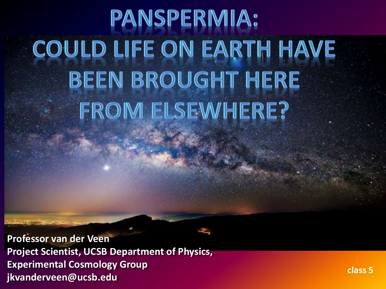# **PANSPERMIA: COULD LIFE ON EARTH HAVE BEEN BROUGHT HERE** FROM ELSEWHERE?

**Professor van der Veen Project Scientist, UCSB Department of Physics, Experimental Cosmology Group jkvanderveen@ucsb.edu**

**class 5**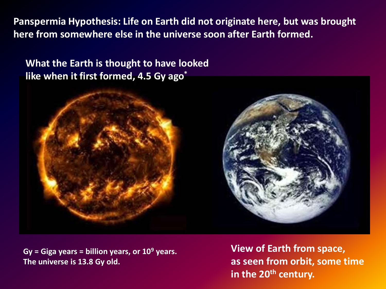**Panspermia Hypothesis: Life on Earth did not originate here, but was brought here from somewhere else in the universe soon after Earth formed.**

**What the Earth is thought to have looked like when it first formed, 4.5 Gy ago\***



**Gy = Giga years = billion years, or 10<sup>9</sup> years. The universe is 13.8 Gy old.**

**View of Earth from space, as seen from orbit, some time in the 20th century.**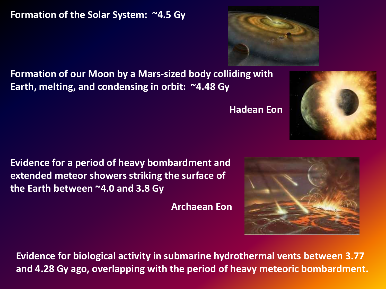**Formation of the Solar System: ~4.5 Gy**

**Formation of our Moon by a Mars-sized body colliding with Earth, melting, and condensing in orbit: ~4.48 Gy**

**Evidence for a period of heavy bombardment and extended meteor showers striking the surface of the Earth between ~4.0 and 3.8 Gy**

**Archaean Eon**

**Evidence for biological activity in submarine hydrothermal vents between 3.77 and 4.28 Gy ago, overlapping with the period of heavy meteoric bombardment.**







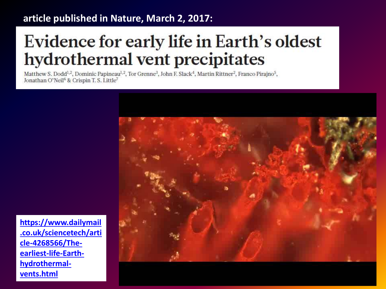### **article published in Nature, March 2, 2017:**

## **Evidence for early life in Earth's oldest** hydrothermal vent precipitates

Matthew S. Dodd<sup>1,2</sup>, Dominic Papineau<sup>1,2</sup>, Tor Grenne<sup>3</sup>, John F. Slack<sup>4</sup>, Martin Rittner<sup>2</sup>, Franco Pirajno<sup>5</sup>, Jonathan O'Neil<sup>6</sup> & Crispin T. S. Little<sup>7</sup>



**[https://www.dailymail](https://www.dailymail.co.uk/sciencetech/article-4268566/The-earliest-life-Earth-hydrothermal-vents.html) [.co.uk/sciencetech/arti](https://www.dailymail.co.uk/sciencetech/article-4268566/The-earliest-life-Earth-hydrothermal-vents.html) [cle-4268566/The](https://www.dailymail.co.uk/sciencetech/article-4268566/The-earliest-life-Earth-hydrothermal-vents.html)[earliest-life-Earth](https://www.dailymail.co.uk/sciencetech/article-4268566/The-earliest-life-Earth-hydrothermal-vents.html)[hydrothermal](https://www.dailymail.co.uk/sciencetech/article-4268566/The-earliest-life-Earth-hydrothermal-vents.html)[vents.html](https://www.dailymail.co.uk/sciencetech/article-4268566/The-earliest-life-Earth-hydrothermal-vents.html)**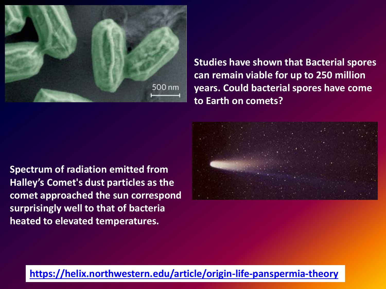

**Studies have shown that Bacterial spores can remain viable for up to 250 million years. Could bacterial spores have come to Earth on comets?**

**Spectrum of radiation emitted from Halley's Comet's dust particles as the comet approached the sun correspond surprisingly well to that of bacteria heated to elevated temperatures.** 



### **<https://helix.northwestern.edu/article/origin-life-panspermia-theory>**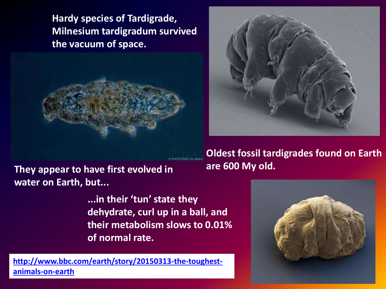**Hardy species of Tardigrade, Milnesium tardigradum survived the vacuum of space.**



**water on Earth, but...**

**are 600 My old. They appear to have first evolved in**

**...in their 'tun' state they dehydrate, curl up in a ball, and their metabolism slows to 0.01% of normal rate.**

**[http://www.bbc.com/earth/story/20150313-the-toughest](http://www.bbc.com/earth/story/20150313-the-toughest-animals-on-earth)[animals-on-earth](http://www.bbc.com/earth/story/20150313-the-toughest-animals-on-earth)**



**Oldest fossil tardigrades found on Earth**

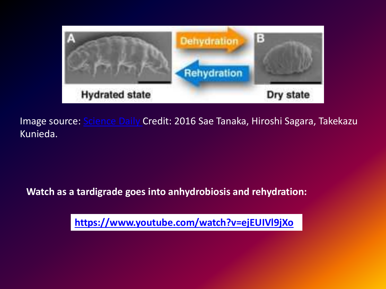

Image source: [Science Daily](https://www.sciencedaily.com/releases/2016/09/160920131045.htm) Credit: 2016 Sae Tanaka, Hiroshi Sagara, Takekazu Kunieda.

**Watch as a tardigrade goes into anhydrobiosis and rehydration:**

**<https://www.youtube.com/watch?v=ejEUIVl9jXo>**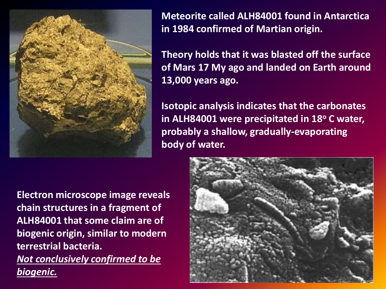

**Meteorite called ALH84001 found in Antarctica in 1984 confirmed of Martian origin.**

**Theory holds that it was blasted off the surface of Mars 17 My ago and landed on Earth around 13,000 years ago.**

**Isotopic analysis indicates that the carbonates in ALH84001 were precipitated in 18<sup>o</sup> C water, probably a shallow, gradually-evaporating body of water.** 

**Electron microscope image reveals chain structures in a fragment of ALH84001 that some claim are of biogenic origin, similar to modern terrestrial bacteria.** *Not conclusively confirmed to be biogenic.*

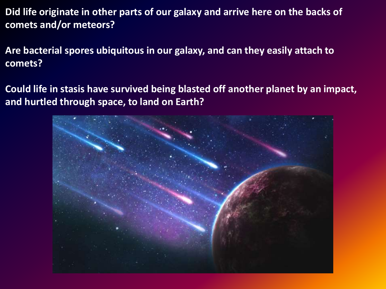**Did life originate in other parts of our galaxy and arrive here on the backs of comets and/or meteors?**

**Are bacterial spores ubiquitous in our galaxy, and can they easily attach to comets?**

**Could life in stasis have survived being blasted off another planet by an impact, and hurtled through space, to land on Earth?**